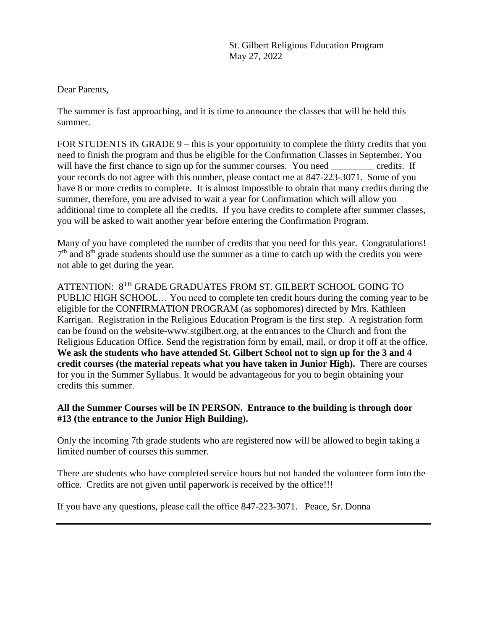St. Gilbert Religious Education Program May 27, 2022

#### Dear Parents,

The summer is fast approaching, and it is time to announce the classes that will be held this summer.

FOR STUDENTS IN GRADE 9 – this is your opportunity to complete the thirty credits that you need to finish the program and thus be eligible for the Confirmation Classes in September. You will have the first chance to sign up for the summer courses. You need \_\_\_\_\_\_\_\_ credits. If your records do not agree with this number, please contact me at 847-223-3071. Some of you have 8 or more credits to complete. It is almost impossible to obtain that many credits during the summer, therefore, you are advised to wait a year for Confirmation which will allow you additional time to complete all the credits. If you have credits to complete after summer classes, you will be asked to wait another year before entering the Confirmation Program.

Many of you have completed the number of credits that you need for this year. Congratulations!  $7<sup>th</sup>$  and  $8<sup>th</sup>$  grade students should use the summer as a time to catch up with the credits you were not able to get during the year.

ATTENTION: 8TH GRADE GRADUATES FROM ST. GILBERT SCHOOL GOING TO PUBLIC HIGH SCHOOL… You need to complete ten credit hours during the coming year to be eligible for the CONFIRMATION PROGRAM (as sophomores) directed by Mrs. Kathleen Karrigan. Registration in the Religious Education Program is the first step. A registration form can be found on the website-www.stgilbert.org, at the entrances to the Church and from the Religious Education Office. Send the registration form by email, mail, or drop it off at the office. **We ask the students who have attended St. Gilbert School not to sign up for the 3 and 4 credit courses (the material repeats what you have taken in Junior High).** There are courses for you in the Summer Syllabus. It would be advantageous for you to begin obtaining your credits this summer.

#### **All the Summer Courses will be IN PERSON. Entrance to the building is through door #13 (the entrance to the Junior High Building).**

Only the incoming 7th grade students who are registered now will be allowed to begin taking a limited number of courses this summer.

There are students who have completed service hours but not handed the volunteer form into the office. Credits are not given until paperwork is received by the office!!!

If you have any questions, please call the office 847-223-3071. Peace, Sr. Donna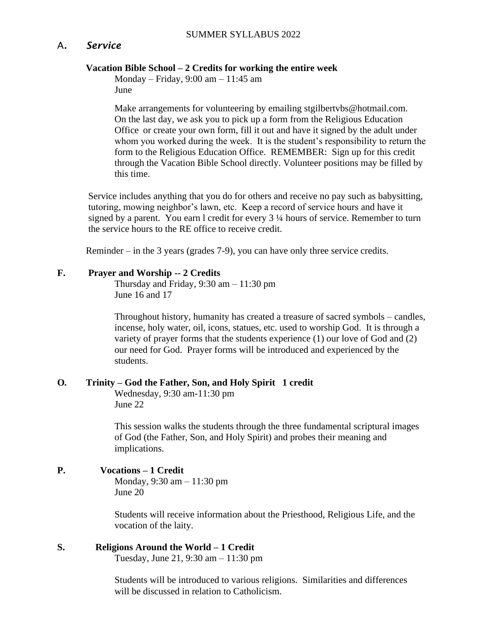# A*. Service*

### **Vacation Bible School – 2 Credits for working the entire week**

Monday – Friday, 9:00 am – 11:45 am June

Make arrangements for volunteering by emailing stgilbertvbs@hotmail.com. On the last day, we ask you to pick up a form from the Religious Education Office or create your own form, fill it out and have it signed by the adult under whom you worked during the week. It is the student's responsibility to return the form to the Religious Education Office. REMEMBER: Sign up for this credit through the Vacation Bible School directly. Volunteer positions may be filled by this time.

 Service includes anything that you do for others and receive no pay such as babysitting, tutoring, mowing neighbor's lawn, etc. Keep a record of service hours and have it signed by a parent. You earn l credit for every 3 ¼ hours of service. Remember to turn the service hours to the RE office to receive credit.

Reminder – in the 3 years (grades 7-9), you can have only three service credits.

## **F. Prayer and Worship -- 2 Credits**

Thursday and Friday,  $9:30 \text{ am} - 11:30 \text{ pm}$ June 16 and 17

Throughout history, humanity has created a treasure of sacred symbols – candles, incense, holy water, oil, icons, statues, etc. used to worship God. It is through a variety of prayer forms that the students experience (1) our love of God and (2) our need for God. Prayer forms will be introduced and experienced by the students.

## **O***.* **Trinity – God the Father, Son, and Holy Spirit 1 credit**

Wednesday, 9:30 am-11:30 pm June 22

This session walks the students through the three fundamental scriptural images of God (the Father, Son, and Holy Spirit) and probes their meaning and implications.

# **P. Vocations – 1 Credit**

Monday, 9:30 am – 11:30 pm June 20

Students will receive information about the Priesthood, Religious Life, and the vocation of the laity.

## **S. Religions Around the World – 1 Credit**

Tuesday, June 21, 9:30 am – 11:30 pm

Students will be introduced to various religions. Similarities and differences will be discussed in relation to Catholicism.